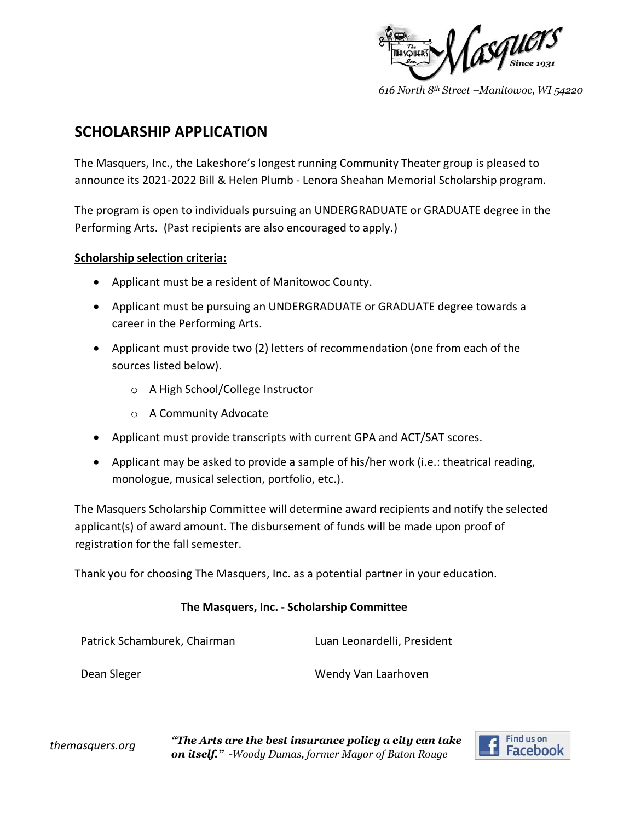

*616 North 8th Street –Manitowoc, WI 54220*

# **SCHOLARSHIP APPLICATION**

The Masquers, Inc., the Lakeshore's longest running Community Theater group is pleased to announce its 2021-2022 Bill & Helen Plumb - Lenora Sheahan Memorial Scholarship program.

The program is open to individuals pursuing an UNDERGRADUATE or GRADUATE degree in the Performing Arts. (Past recipients are also encouraged to apply.)

## **Scholarship selection criteria:**

- Applicant must be a resident of Manitowoc County.
- Applicant must be pursuing an UNDERGRADUATE or GRADUATE degree towards a career in the Performing Arts.
- Applicant must provide two (2) letters of recommendation (one from each of the sources listed below).
	- o A High School/College Instructor
	- o A Community Advocate
- Applicant must provide transcripts with current GPA and ACT/SAT scores.
- Applicant may be asked to provide a sample of his/her work (i.e.: theatrical reading, monologue, musical selection, portfolio, etc.).

The Masquers Scholarship Committee will determine award recipients and notify the selected applicant(s) of award amount. The disbursement of funds will be made upon proof of registration for the fall semester.

Thank you for choosing The Masquers, Inc. as a potential partner in your education.

# **The Masquers, Inc. - Scholarship Committee**

| Patrick Schamburek, Chairman | Luan Leonardelli, President |
|------------------------------|-----------------------------|
| Dean Sleger                  | Wendy Van Laarhoven         |

*themasquers.org "The Arts are the best insurance policy a city can take on itself." -Woody Dumas, former Mayor of Baton Rouge*